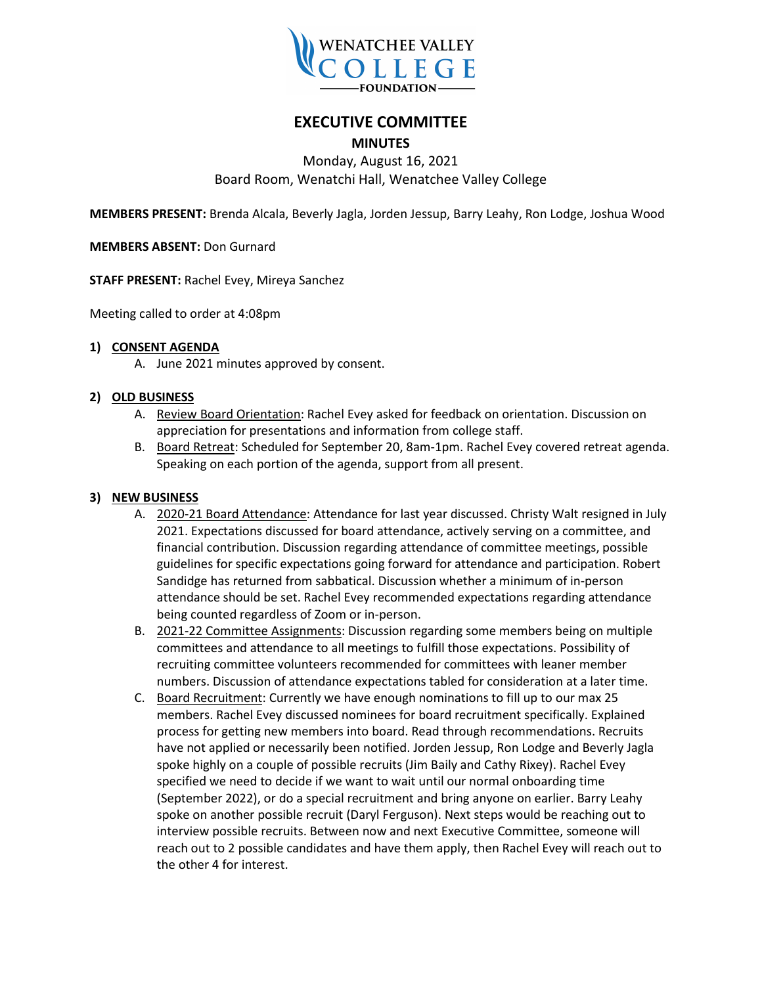

# **EXECUTIVE COMMITTEE**

## **MINUTES**

#### Monday, August 16, 2021 Board Room, Wenatchi Hall, Wenatchee Valley College

**MEMBERS PRESENT:** Brenda Alcala, Beverly Jagla, Jorden Jessup, Barry Leahy, Ron Lodge, Joshua Wood

**MEMBERS ABSENT:** Don Gurnard

**STAFF PRESENT:** Rachel Evey, Mireya Sanchez

Meeting called to order at 4:08pm

#### **1) CONSENT AGENDA**

A. June 2021 minutes approved by consent.

#### **2) OLD BUSINESS**

- A. Review Board Orientation: Rachel Evey asked for feedback on orientation. Discussion on appreciation for presentations and information from college staff.
- B. Board Retreat: Scheduled for September 20, 8am-1pm. Rachel Evey covered retreat agenda. Speaking on each portion of the agenda, support from all present.

#### **3) NEW BUSINESS**

- A. 2020-21 Board Attendance: Attendance for last year discussed. Christy Walt resigned in July 2021. Expectations discussed for board attendance, actively serving on a committee, and financial contribution. Discussion regarding attendance of committee meetings, possible guidelines for specific expectations going forward for attendance and participation. Robert Sandidge has returned from sabbatical. Discussion whether a minimum of in-person attendance should be set. Rachel Evey recommended expectations regarding attendance being counted regardless of Zoom or in-person.
- B. 2021-22 Committee Assignments: Discussion regarding some members being on multiple committees and attendance to all meetings to fulfill those expectations. Possibility of recruiting committee volunteers recommended for committees with leaner member numbers. Discussion of attendance expectations tabled for consideration at a later time.
- C. Board Recruitment: Currently we have enough nominations to fill up to our max 25 members. Rachel Evey discussed nominees for board recruitment specifically. Explained process for getting new members into board. Read through recommendations. Recruits have not applied or necessarily been notified. Jorden Jessup, Ron Lodge and Beverly Jagla spoke highly on a couple of possible recruits (Jim Baily and Cathy Rixey). Rachel Evey specified we need to decide if we want to wait until our normal onboarding time (September 2022), or do a special recruitment and bring anyone on earlier. Barry Leahy spoke on another possible recruit (Daryl Ferguson). Next steps would be reaching out to interview possible recruits. Between now and next Executive Committee, someone will reach out to 2 possible candidates and have them apply, then Rachel Evey will reach out to the other 4 for interest.